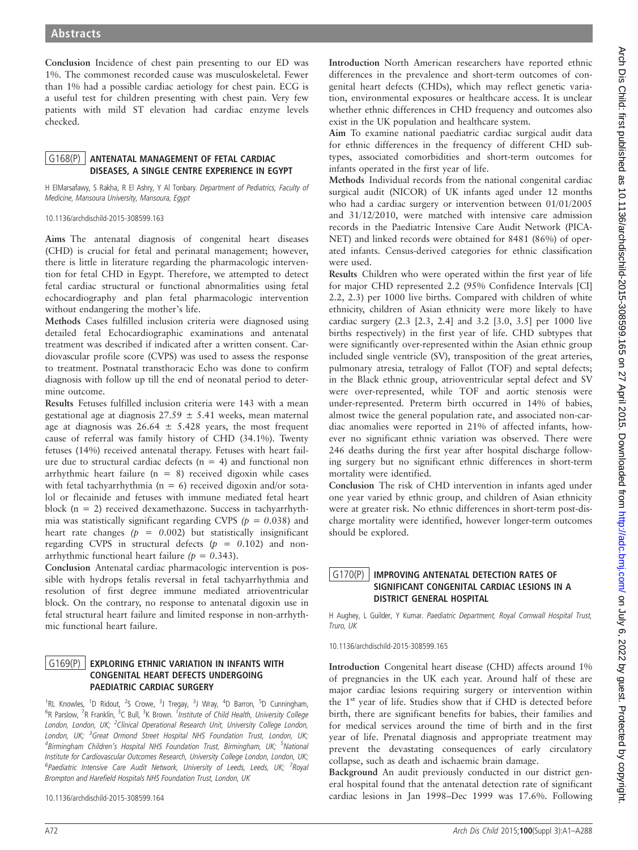Conclusion Incidence of chest pain presenting to our ED was 1%. The commonest recorded cause was musculoskeletal. Fewer than 1% had a possible cardiac aetiology for chest pain. ECG is a useful test for children presenting with chest pain. Very few patients with mild ST elevation had cardiac enzyme levels checked.

# G168(P) ANTENATAL MANAGEMENT OF FETAL CARDIAC DISEASES, A SINGLE CENTRE EXPERIENCE IN EGYPT

H ElMarsafawy, S Rakha, R El Ashry, Y Al Tonbary. Department of Pediatrics, Faculty of Medicine, Mansoura University, Mansoura, Egypt

10.1136/archdischild-2015-308599.163

Aims The antenatal diagnosis of congenital heart diseases (CHD) is crucial for fetal and perinatal management; however, there is little in literature regarding the pharmacologic intervention for fetal CHD in Egypt. Therefore, we attempted to detect fetal cardiac structural or functional abnormalities using fetal echocardiography and plan fetal pharmacologic intervention without endangering the mother's life.

Methods Cases fulfilled inclusion criteria were diagnosed using detailed fetal Echocardiographic examinations and antenatal treatment was described if indicated after a written consent. Cardiovascular profile score (CVPS) was used to assess the response to treatment. Postnatal transthoracic Echo was done to confirm diagnosis with follow up till the end of neonatal period to determine outcome.

Results Fetuses fulfilled inclusion criteria were 143 with a mean gestational age at diagnosis  $27.59 \pm 5.41$  weeks, mean maternal age at diagnosis was  $26.64 \pm 5.428$  years, the most frequent cause of referral was family history of CHD (34.1%). Twenty fetuses (14%) received antenatal therapy. Fetuses with heart failure due to structural cardiac defects ( $n = 4$ ) and functional non arrhythmic heart failure  $(n = 8)$  received digoxin while cases with fetal tachyarrhythmia ( $n = 6$ ) received digoxin and/or sotalol or flecainide and fetuses with immune mediated fetal heart block (n = 2) received dexamethazone. Success in tachyarrhythmia was statistically significant regarding CVPS ( $p = 0.038$ ) and heart rate changes ( $p = 0.002$ ) but statistically insignificant regarding CVPS in structural defects ( $p = 0.102$ ) and nonarrhythmic functional heart failure  $(p = 0.343)$ .

Conclusion Antenatal cardiac pharmacologic intervention is possible with hydrops fetalis reversal in fetal tachyarrhythmia and resolution of first degree immune mediated atrioventricular block. On the contrary, no response to antenatal digoxin use in fetal structural heart failure and limited response in non-arrhythmic functional heart failure.

### G169(P) EXPLORING ETHNIC VARIATION IN INFANTS WITH CONGENITAL HEART DEFECTS UNDERGOING PAEDIATRIC CARDIAC SURGERY

<sup>1</sup>RL Knowles, <sup>1</sup>D Ridout, <sup>2</sup>S Crowe, <sup>3</sup>J Tregay, <sup>3</sup>J Wray, <sup>4</sup>D Barron, <sup>5</sup>D Cunningham, <sup>6</sup>R Parslow, <sup>7</sup>R Franklin, <sup>3</sup>C Bull, <sup>3</sup>K Brown. <sup>1</sup>Institute of Child Health, University College London, London, UK; <sup>2</sup>Clinical Operational Research Unit, University College London, London, UK; <sup>3</sup>Great Ormond Street Hospital NHS Foundation Trust, London, UK; <sup>4</sup>Birmingham Children's Hospital NHS Foundation Trust, Birmingham, UK; <sup>5</sup>National Institute for Cardiovascular Outcomes Research, University College London, London, UK; <sup>6</sup>Paediatric Intensive Care Audit Network, University of Leeds, Leeds, UK; <sup>7</sup>Royal Brompton and Harefield Hospitals NHS Foundation Trust, London, UK

10.1136/archdischild-2015-308599.164

Introduction North American researchers have reported ethnic differences in the prevalence and short-term outcomes of congenital heart defects (CHDs), which may reflect genetic variation, environmental exposures or healthcare access. It is unclear whether ethnic differences in CHD frequency and outcomes also exist in the UK population and healthcare system.

Aim To examine national paediatric cardiac surgical audit data for ethnic differences in the frequency of different CHD subtypes, associated comorbidities and short-term outcomes for infants operated in the first year of life.

Methods Individual records from the national congenital cardiac surgical audit (NICOR) of UK infants aged under 12 months who had a cardiac surgery or intervention between 01/01/2005 and 31/12/2010, were matched with intensive care admission records in the Paediatric Intensive Care Audit Network (PICA-NET) and linked records were obtained for 8481 (86%) of operated infants. Census-derived categories for ethnic classification were used.

Results Children who were operated within the first year of life for major CHD represented 2.2 (95% Confidence Intervals [CI] 2.2, 2.3) per 1000 live births. Compared with children of white ethnicity, children of Asian ethnicity were more likely to have cardiac surgery (2.3 [2.3, 2.4] and 3.2 [3.0, 3.5] per 1000 live births respectively) in the first year of life. CHD subtypes that were significantly over-represented within the Asian ethnic group included single ventricle (SV), transposition of the great arteries, pulmonary atresia, tetralogy of Fallot (TOF) and septal defects; in the Black ethnic group, atrioventricular septal defect and SV were over-represented, while TOF and aortic stenosis were under-represented. Preterm birth occurred in 14% of babies, almost twice the general population rate, and associated non-cardiac anomalies were reported in 21% of affected infants, however no significant ethnic variation was observed. There were 246 deaths during the first year after hospital discharge following surgery but no significant ethnic differences in short-term mortality were identified.

Conclusion The risk of CHD intervention in infants aged under one year varied by ethnic group, and children of Asian ethnicity were at greater risk. No ethnic differences in short-term post-discharge mortality were identified, however longer-term outcomes should be explored.

# G170(P) IMPROVING ANTENATAL DETECTION RATES OF SIGNIFICANT CONGENITAL CARDIAC LESIONS IN A DISTRICT GENERAL HOSPITAL

H Aughey, L Guilder, Y Kumar. Paediatric Department, Royal Cornwall Hospital Trust, Truro, UK

10.1136/archdischild-2015-308599.165

Introduction Congenital heart disease (CHD) affects around 1% of pregnancies in the UK each year. Around half of these are major cardiac lesions requiring surgery or intervention within the  $1<sup>st</sup>$  year of life. Studies show that if CHD is detected before birth, there are significant benefits for babies, their families and for medical services around the time of birth and in the first year of life. Prenatal diagnosis and appropriate treatment may prevent the devastating consequences of early circulatory collapse, such as death and ischaemic brain damage.

Background An audit previously conducted in our district general hospital found that the antenatal detection rate of significant cardiac lesions in Jan 1998–Dec 1999 was 17.6%. Following